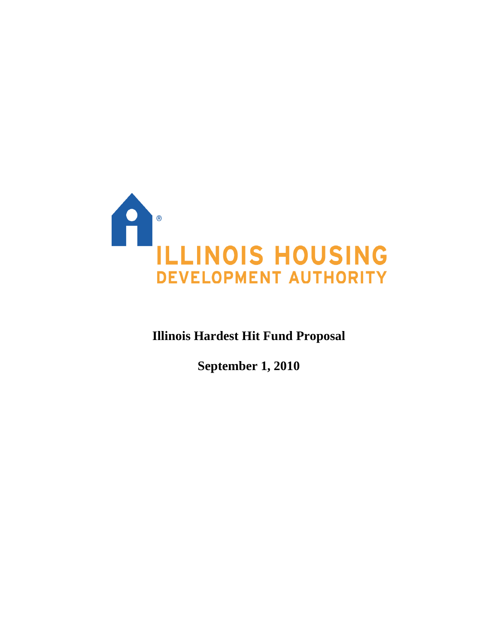

**Illinois Hardest Hit Fund Proposal** 

**September 1, 2010**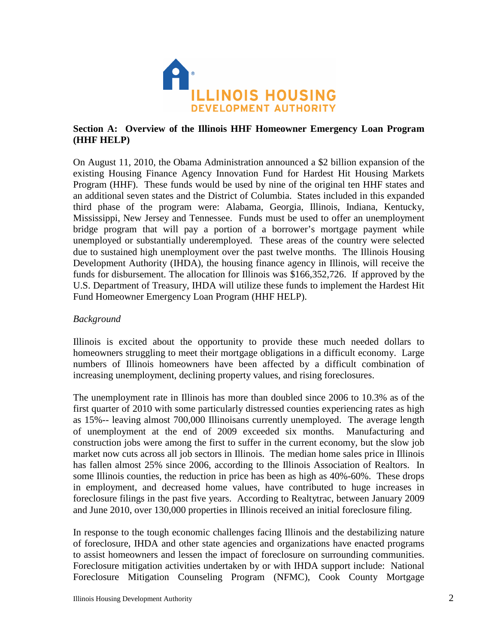

# **Section A: Overview of the Illinois HHF Homeowner Emergency Loan Program (HHF HELP)**

On August 11, 2010, the Obama Administration announced a \$2 billion expansion of the existing Housing Finance Agency Innovation Fund for Hardest Hit Housing Markets Program (HHF). These funds would be used by nine of the original ten HHF states and an additional seven states and the District of Columbia. States included in this expanded third phase of the program were: Alabama, Georgia, Illinois, Indiana, Kentucky, Mississippi, New Jersey and Tennessee. Funds must be used to offer an unemployment bridge program that will pay a portion of a borrower's mortgage payment while unemployed or substantially underemployed. These areas of the country were selected due to sustained high unemployment over the past twelve months. The Illinois Housing Development Authority (IHDA), the housing finance agency in Illinois, will receive the funds for disbursement. The allocation for Illinois was \$166,352,726. If approved by the U.S. Department of Treasury, IHDA will utilize these funds to implement the Hardest Hit Fund Homeowner Emergency Loan Program (HHF HELP).

## *Background*

Illinois is excited about the opportunity to provide these much needed dollars to homeowners struggling to meet their mortgage obligations in a difficult economy. Large numbers of Illinois homeowners have been affected by a difficult combination of increasing unemployment, declining property values, and rising foreclosures.

The unemployment rate in Illinois has more than doubled since 2006 to 10.3% as of the first quarter of 2010 with some particularly distressed counties experiencing rates as high as 15%-- leaving almost 700,000 Illinoisans currently unemployed. The average length of unemployment at the end of 2009 exceeded six months. Manufacturing and construction jobs were among the first to suffer in the current economy, but the slow job market now cuts across all job sectors in Illinois. The median home sales price in Illinois has fallen almost 25% since 2006, according to the Illinois Association of Realtors. In some Illinois counties, the reduction in price has been as high as 40%-60%. These drops in employment, and decreased home values, have contributed to huge increases in foreclosure filings in the past five years. According to Realtytrac, between January 2009 and June 2010, over 130,000 properties in Illinois received an initial foreclosure filing.

In response to the tough economic challenges facing Illinois and the destabilizing nature of foreclosure, IHDA and other state agencies and organizations have enacted programs to assist homeowners and lessen the impact of foreclosure on surrounding communities. Foreclosure mitigation activities undertaken by or with IHDA support include: National Foreclosure Mitigation Counseling Program (NFMC), Cook County Mortgage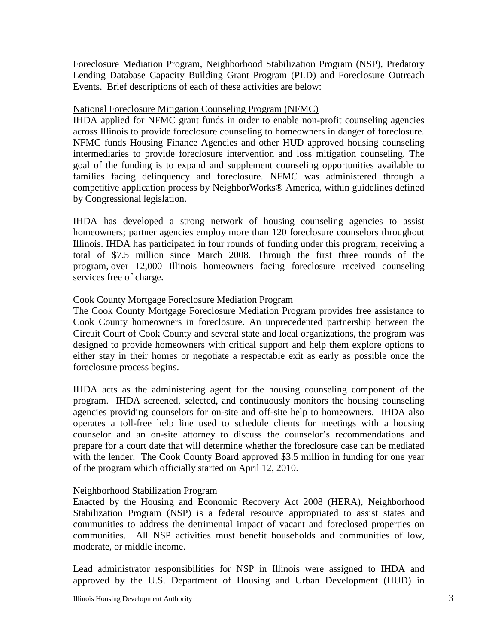Foreclosure Mediation Program, Neighborhood Stabilization Program (NSP), Predatory Lending Database Capacity Building Grant Program (PLD) and Foreclosure Outreach Events. Brief descriptions of each of these activities are below:

## National Foreclosure Mitigation Counseling Program (NFMC)

IHDA applied for NFMC grant funds in order to enable non-profit counseling agencies across Illinois to provide foreclosure counseling to homeowners in danger of foreclosure. NFMC funds Housing Finance Agencies and other HUD approved housing counseling intermediaries to provide foreclosure intervention and loss mitigation counseling. The goal of the funding is to expand and supplement counseling opportunities available to families facing delinquency and foreclosure. NFMC was administered through a competitive application process by NeighborWorks® America, within guidelines defined by Congressional legislation.

IHDA has developed a strong network of housing counseling agencies to assist homeowners; partner agencies employ more than 120 foreclosure counselors throughout Illinois. IHDA has participated in four rounds of funding under this program, receiving a total of \$7.5 million since March 2008. Through the first three rounds of the program, over 12,000 Illinois homeowners facing foreclosure received counseling services free of charge.

## Cook County Mortgage Foreclosure Mediation Program

The Cook County Mortgage Foreclosure Mediation Program provides free assistance to Cook County homeowners in foreclosure. An unprecedented partnership between the Circuit Court of Cook County and several state and local organizations, the program was designed to provide homeowners with critical support and help them explore options to either stay in their homes or negotiate a respectable exit as early as possible once the foreclosure process begins.

IHDA acts as the administering agent for the housing counseling component of the program. IHDA screened, selected, and continuously monitors the housing counseling agencies providing counselors for on-site and off-site help to homeowners. IHDA also operates a toll-free help line used to schedule clients for meetings with a housing counselor and an on-site attorney to discuss the counselor's recommendations and prepare for a court date that will determine whether the foreclosure case can be mediated with the lender. The Cook County Board approved \$3.5 million in funding for one year of the program which officially started on April 12, 2010.

#### Neighborhood Stabilization Program

Enacted by the Housing and Economic Recovery Act 2008 (HERA), Neighborhood Stabilization Program (NSP) is a federal resource appropriated to assist states and communities to address the detrimental impact of vacant and foreclosed properties on communities. All NSP activities must benefit households and communities of low, moderate, or middle income.

Lead administrator responsibilities for NSP in Illinois were assigned to IHDA and approved by the U.S. Department of Housing and Urban Development (HUD) in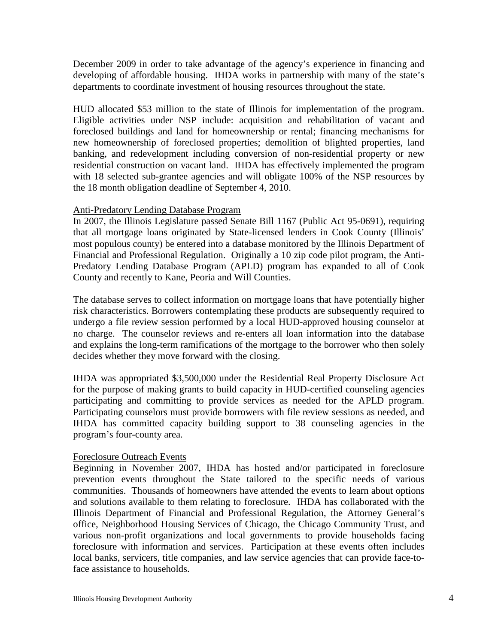December 2009 in order to take advantage of the agency's experience in financing and developing of affordable housing. IHDA works in partnership with many of the state's departments to coordinate investment of housing resources throughout the state.

HUD allocated \$53 million to the state of Illinois for implementation of the program. Eligible activities under NSP include: acquisition and rehabilitation of vacant and foreclosed buildings and land for homeownership or rental; financing mechanisms for new homeownership of foreclosed properties; demolition of blighted properties, land banking, and redevelopment including conversion of non-residential property or new residential construction on vacant land. IHDA has effectively implemented the program with 18 selected sub-grantee agencies and will obligate 100% of the NSP resources by the 18 month obligation deadline of September 4, 2010.

## Anti-Predatory Lending Database Program

In 2007, the Illinois Legislature passed Senate Bill 1167 (Public Act 95-0691), requiring that all mortgage loans originated by State-licensed lenders in Cook County (Illinois' most populous county) be entered into a database monitored by the Illinois Department of Financial and Professional Regulation. Originally a 10 zip code pilot program, the Anti-Predatory Lending Database Program (APLD) program has expanded to all of Cook County and recently to Kane, Peoria and Will Counties.

The database serves to collect information on mortgage loans that have potentially higher risk characteristics. Borrowers contemplating these products are subsequently required to undergo a file review session performed by a local HUD-approved housing counselor at no charge. The counselor reviews and re-enters all loan information into the database and explains the long-term ramifications of the mortgage to the borrower who then solely decides whether they move forward with the closing.

IHDA was appropriated \$3,500,000 under the Residential Real Property Disclosure Act for the purpose of making grants to build capacity in HUD-certified counseling agencies participating and committing to provide services as needed for the APLD program. Participating counselors must provide borrowers with file review sessions as needed, and IHDA has committed capacity building support to 38 counseling agencies in the program's four-county area.

#### Foreclosure Outreach Events

Beginning in November 2007, IHDA has hosted and/or participated in foreclosure prevention events throughout the State tailored to the specific needs of various communities. Thousands of homeowners have attended the events to learn about options and solutions available to them relating to foreclosure. IHDA has collaborated with the Illinois Department of Financial and Professional Regulation, the Attorney General's office, Neighborhood Housing Services of Chicago, the Chicago Community Trust, and various non-profit organizations and local governments to provide households facing foreclosure with information and services. Participation at these events often includes local banks, servicers, title companies, and law service agencies that can provide face-toface assistance to households.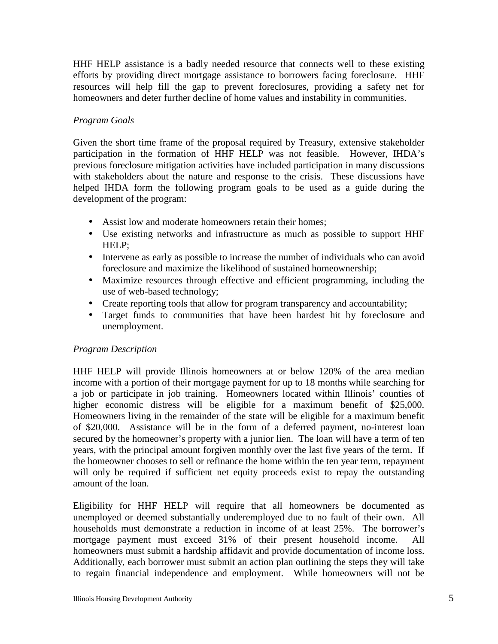HHF HELP assistance is a badly needed resource that connects well to these existing efforts by providing direct mortgage assistance to borrowers facing foreclosure. HHF resources will help fill the gap to prevent foreclosures, providing a safety net for homeowners and deter further decline of home values and instability in communities.

# *Program Goals*

Given the short time frame of the proposal required by Treasury, extensive stakeholder participation in the formation of HHF HELP was not feasible. However, IHDA's previous foreclosure mitigation activities have included participation in many discussions with stakeholders about the nature and response to the crisis. These discussions have helped IHDA form the following program goals to be used as a guide during the development of the program:

- Assist low and moderate homeowners retain their homes:
- Use existing networks and infrastructure as much as possible to support HHF HELP;
- Intervene as early as possible to increase the number of individuals who can avoid foreclosure and maximize the likelihood of sustained homeownership;
- Maximize resources through effective and efficient programming, including the use of web-based technology;
- Create reporting tools that allow for program transparency and accountability;
- Target funds to communities that have been hardest hit by foreclosure and unemployment.

# *Program Description*

HHF HELP will provide Illinois homeowners at or below 120% of the area median income with a portion of their mortgage payment for up to 18 months while searching for a job or participate in job training. Homeowners located within Illinois' counties of higher economic distress will be eligible for a maximum benefit of \$25,000. Homeowners living in the remainder of the state will be eligible for a maximum benefit of \$20,000. Assistance will be in the form of a deferred payment, no-interest loan secured by the homeowner's property with a junior lien. The loan will have a term of ten years, with the principal amount forgiven monthly over the last five years of the term. If the homeowner chooses to sell or refinance the home within the ten year term, repayment will only be required if sufficient net equity proceeds exist to repay the outstanding amount of the loan.

Eligibility for HHF HELP will require that all homeowners be documented as unemployed or deemed substantially underemployed due to no fault of their own. All households must demonstrate a reduction in income of at least 25%. The borrower's mortgage payment must exceed 31% of their present household income. All homeowners must submit a hardship affidavit and provide documentation of income loss. Additionally, each borrower must submit an action plan outlining the steps they will take to regain financial independence and employment. While homeowners will not be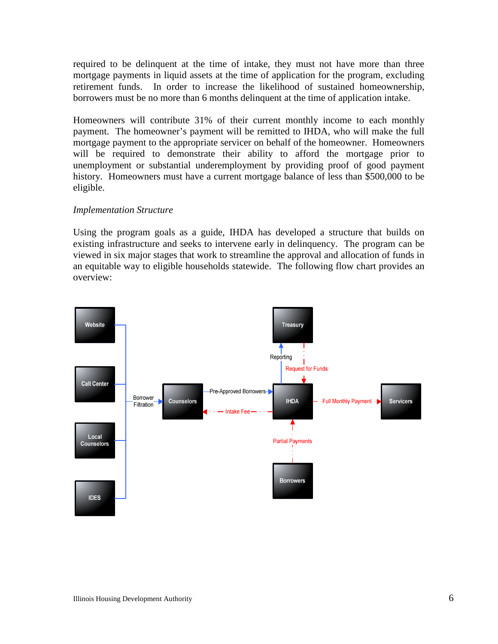required to be delinquent at the time of intake, they must not have more than three mortgage payments in liquid assets at the time of application for the program, excluding retirement funds. In order to increase the likelihood of sustained homeownership, borrowers must be no more than 6 months delinquent at the time of application intake.

Homeowners will contribute 31% of their current monthly income to each monthly payment. The homeowner's payment will be remitted to IHDA, who will make the full mortgage payment to the appropriate servicer on behalf of the homeowner. Homeowners will be required to demonstrate their ability to afford the mortgage prior to unemployment or substantial underemployment by providing proof of good payment history. Homeowners must have a current mortgage balance of less than \$500,000 to be eligible.

## *Implementation Structure*

Using the program goals as a guide, IHDA has developed a structure that builds on existing infrastructure and seeks to intervene early in delinquency. The program can be viewed in six major stages that work to streamline the approval and allocation of funds in an equitable way to eligible households statewide. The following flow chart provides an overview:

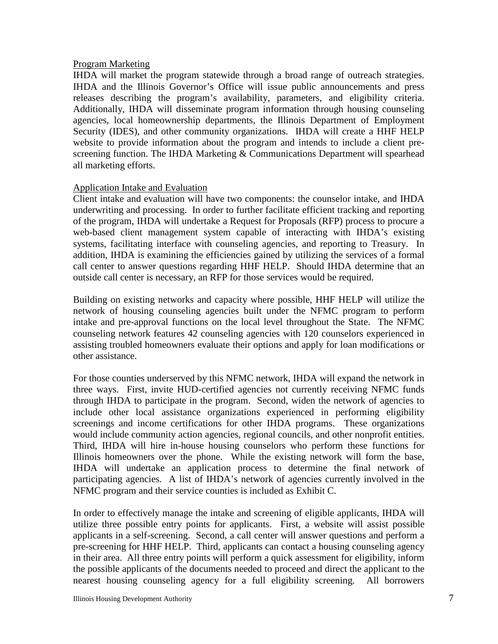#### Program Marketing

IHDA will market the program statewide through a broad range of outreach strategies. IHDA and the Illinois Governor's Office will issue public announcements and press releases describing the program's availability, parameters, and eligibility criteria. Additionally, IHDA will disseminate program information through housing counseling agencies, local homeownership departments, the Illinois Department of Employment Security (IDES), and other community organizations. IHDA will create a HHF HELP website to provide information about the program and intends to include a client prescreening function. The IHDA Marketing & Communications Department will spearhead all marketing efforts.

#### Application Intake and Evaluation

Client intake and evaluation will have two components: the counselor intake, and IHDA underwriting and processing. In order to further facilitate efficient tracking and reporting of the program, IHDA will undertake a Request for Proposals (RFP) process to procure a web-based client management system capable of interacting with IHDA's existing systems, facilitating interface with counseling agencies, and reporting to Treasury. In addition, IHDA is examining the efficiencies gained by utilizing the services of a formal call center to answer questions regarding HHF HELP. Should IHDA determine that an outside call center is necessary, an RFP for those services would be required.

Building on existing networks and capacity where possible, HHF HELP will utilize the network of housing counseling agencies built under the NFMC program to perform intake and pre-approval functions on the local level throughout the State. The NFMC counseling network features 42 counseling agencies with 120 counselors experienced in assisting troubled homeowners evaluate their options and apply for loan modifications or other assistance.

For those counties underserved by this NFMC network, IHDA will expand the network in three ways. First, invite HUD-certified agencies not currently receiving NFMC funds through IHDA to participate in the program. Second, widen the network of agencies to include other local assistance organizations experienced in performing eligibility screenings and income certifications for other IHDA programs. These organizations would include community action agencies, regional councils, and other nonprofit entities. Third, IHDA will hire in-house housing counselors who perform these functions for Illinois homeowners over the phone. While the existing network will form the base, IHDA will undertake an application process to determine the final network of participating agencies. A list of IHDA's network of agencies currently involved in the NFMC program and their service counties is included as Exhibit C.

In order to effectively manage the intake and screening of eligible applicants, IHDA will utilize three possible entry points for applicants. First, a website will assist possible applicants in a self-screening. Second, a call center will answer questions and perform a pre-screening for HHF HELP. Third, applicants can contact a housing counseling agency in their area. All three entry points will perform a quick assessment for eligibility, inform the possible applicants of the documents needed to proceed and direct the applicant to the nearest housing counseling agency for a full eligibility screening. All borrowers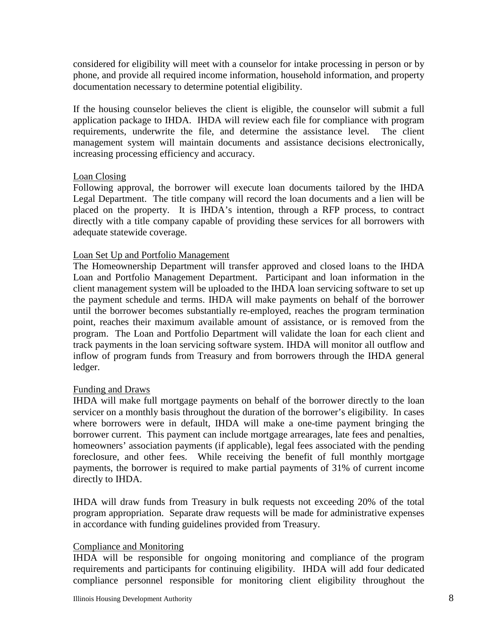considered for eligibility will meet with a counselor for intake processing in person or by phone, and provide all required income information, household information, and property documentation necessary to determine potential eligibility.

If the housing counselor believes the client is eligible, the counselor will submit a full application package to IHDA. IHDA will review each file for compliance with program requirements, underwrite the file, and determine the assistance level. The client management system will maintain documents and assistance decisions electronically, increasing processing efficiency and accuracy.

## Loan Closing

Following approval, the borrower will execute loan documents tailored by the IHDA Legal Department. The title company will record the loan documents and a lien will be placed on the property. It is IHDA's intention, through a RFP process, to contract directly with a title company capable of providing these services for all borrowers with adequate statewide coverage.

## Loan Set Up and Portfolio Management

The Homeownership Department will transfer approved and closed loans to the IHDA Loan and Portfolio Management Department. Participant and loan information in the client management system will be uploaded to the IHDA loan servicing software to set up the payment schedule and terms. IHDA will make payments on behalf of the borrower until the borrower becomes substantially re-employed, reaches the program termination point, reaches their maximum available amount of assistance, or is removed from the program. The Loan and Portfolio Department will validate the loan for each client and track payments in the loan servicing software system. IHDA will monitor all outflow and inflow of program funds from Treasury and from borrowers through the IHDA general ledger.

#### Funding and Draws

IHDA will make full mortgage payments on behalf of the borrower directly to the loan servicer on a monthly basis throughout the duration of the borrower's eligibility. In cases where borrowers were in default, IHDA will make a one-time payment bringing the borrower current. This payment can include mortgage arrearages, late fees and penalties, homeowners' association payments (if applicable), legal fees associated with the pending foreclosure, and other fees. While receiving the benefit of full monthly mortgage payments, the borrower is required to make partial payments of 31% of current income directly to IHDA.

IHDA will draw funds from Treasury in bulk requests not exceeding 20% of the total program appropriation. Separate draw requests will be made for administrative expenses in accordance with funding guidelines provided from Treasury.

#### Compliance and Monitoring

IHDA will be responsible for ongoing monitoring and compliance of the program requirements and participants for continuing eligibility. IHDA will add four dedicated compliance personnel responsible for monitoring client eligibility throughout the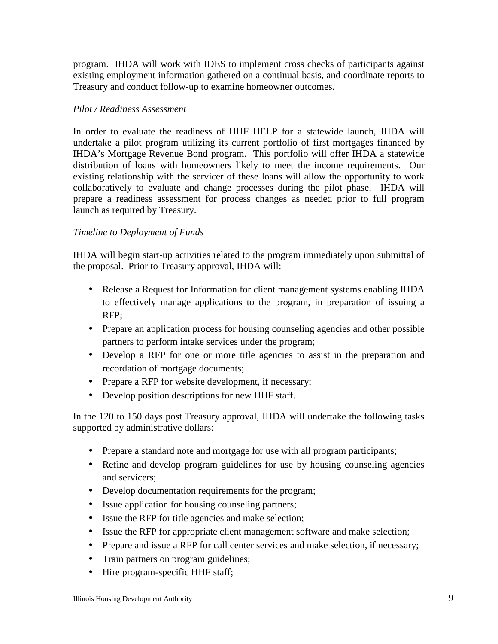program. IHDA will work with IDES to implement cross checks of participants against existing employment information gathered on a continual basis, and coordinate reports to Treasury and conduct follow-up to examine homeowner outcomes.

# *Pilot / Readiness Assessment*

In order to evaluate the readiness of HHF HELP for a statewide launch, IHDA will undertake a pilot program utilizing its current portfolio of first mortgages financed by IHDA's Mortgage Revenue Bond program. This portfolio will offer IHDA a statewide distribution of loans with homeowners likely to meet the income requirements. Our existing relationship with the servicer of these loans will allow the opportunity to work collaboratively to evaluate and change processes during the pilot phase. IHDA will prepare a readiness assessment for process changes as needed prior to full program launch as required by Treasury.

# *Timeline to Deployment of Funds*

IHDA will begin start-up activities related to the program immediately upon submittal of the proposal. Prior to Treasury approval, IHDA will:

- Release a Request for Information for client management systems enabling IHDA to effectively manage applications to the program, in preparation of issuing a RFP;
- Prepare an application process for housing counseling agencies and other possible partners to perform intake services under the program;
- Develop a RFP for one or more title agencies to assist in the preparation and recordation of mortgage documents;
- Prepare a RFP for website development, if necessary;
- Develop position descriptions for new HHF staff.

In the 120 to 150 days post Treasury approval, IHDA will undertake the following tasks supported by administrative dollars:

- Prepare a standard note and mortgage for use with all program participants;
- Refine and develop program guidelines for use by housing counseling agencies and servicers;
- Develop documentation requirements for the program;
- Issue application for housing counseling partners;
- Issue the RFP for title agencies and make selection;
- Issue the RFP for appropriate client management software and make selection;
- Prepare and issue a RFP for call center services and make selection, if necessary;
- Train partners on program guidelines;
- Hire program-specific HHF staff;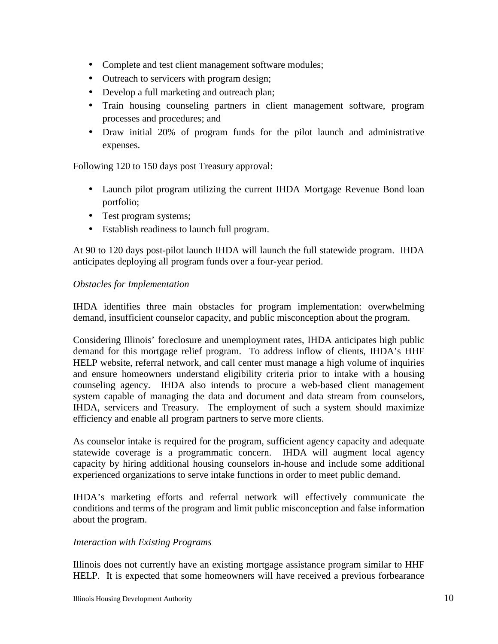- Complete and test client management software modules;
- Outreach to servicers with program design;
- Develop a full marketing and outreach plan;
- Train housing counseling partners in client management software, program processes and procedures; and
- Draw initial 20% of program funds for the pilot launch and administrative expenses.

Following 120 to 150 days post Treasury approval:

- Launch pilot program utilizing the current IHDA Mortgage Revenue Bond loan portfolio;
- Test program systems;
- Establish readiness to launch full program.

At 90 to 120 days post-pilot launch IHDA will launch the full statewide program. IHDA anticipates deploying all program funds over a four-year period.

## *Obstacles for Implementation*

IHDA identifies three main obstacles for program implementation: overwhelming demand, insufficient counselor capacity, and public misconception about the program.

Considering Illinois' foreclosure and unemployment rates, IHDA anticipates high public demand for this mortgage relief program. To address inflow of clients, IHDA's HHF HELP website, referral network, and call center must manage a high volume of inquiries and ensure homeowners understand eligibility criteria prior to intake with a housing counseling agency. IHDA also intends to procure a web-based client management system capable of managing the data and document and data stream from counselors, IHDA, servicers and Treasury. The employment of such a system should maximize efficiency and enable all program partners to serve more clients.

As counselor intake is required for the program, sufficient agency capacity and adequate statewide coverage is a programmatic concern. IHDA will augment local agency capacity by hiring additional housing counselors in-house and include some additional experienced organizations to serve intake functions in order to meet public demand.

IHDA's marketing efforts and referral network will effectively communicate the conditions and terms of the program and limit public misconception and false information about the program.

#### *Interaction with Existing Programs*

Illinois does not currently have an existing mortgage assistance program similar to HHF HELP. It is expected that some homeowners will have received a previous forbearance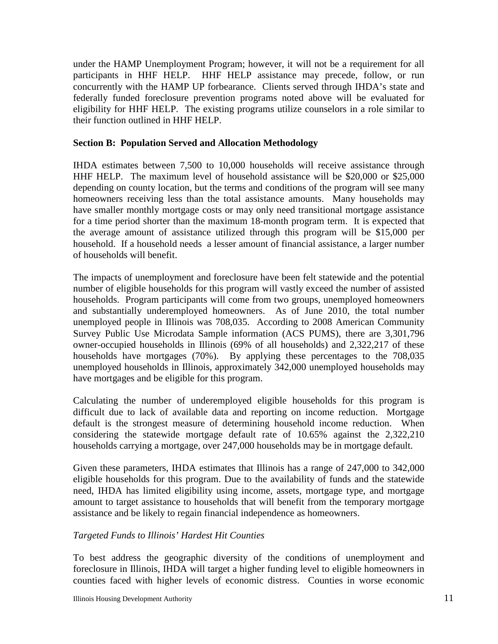under the HAMP Unemployment Program; however, it will not be a requirement for all participants in HHF HELP. HHF HELP assistance may precede, follow, or run concurrently with the HAMP UP forbearance. Clients served through IHDA's state and federally funded foreclosure prevention programs noted above will be evaluated for eligibility for HHF HELP. The existing programs utilize counselors in a role similar to their function outlined in HHF HELP.

#### **Section B: Population Served and Allocation Methodology**

IHDA estimates between 7,500 to 10,000 households will receive assistance through HHF HELP. The maximum level of household assistance will be \$20,000 or \$25,000 depending on county location, but the terms and conditions of the program will see many homeowners receiving less than the total assistance amounts. Many households may have smaller monthly mortgage costs or may only need transitional mortgage assistance for a time period shorter than the maximum 18-month program term. It is expected that the average amount of assistance utilized through this program will be \$15,000 per household. If a household needs a lesser amount of financial assistance, a larger number of households will benefit.

The impacts of unemployment and foreclosure have been felt statewide and the potential number of eligible households for this program will vastly exceed the number of assisted households. Program participants will come from two groups, unemployed homeowners and substantially underemployed homeowners. As of June 2010, the total number unemployed people in Illinois was 708,035. According to 2008 American Community Survey Public Use Microdata Sample information (ACS PUMS), there are 3,301,796 owner-occupied households in Illinois (69% of all households) and 2,322,217 of these households have mortgages (70%). By applying these percentages to the 708,035 unemployed households in Illinois, approximately 342,000 unemployed households may have mortgages and be eligible for this program.

Calculating the number of underemployed eligible households for this program is difficult due to lack of available data and reporting on income reduction. Mortgage default is the strongest measure of determining household income reduction. When considering the statewide mortgage default rate of 10.65% against the 2,322,210 households carrying a mortgage, over 247,000 households may be in mortgage default.

Given these parameters, IHDA estimates that Illinois has a range of 247,000 to 342,000 eligible households for this program. Due to the availability of funds and the statewide need, IHDA has limited eligibility using income, assets, mortgage type, and mortgage amount to target assistance to households that will benefit from the temporary mortgage assistance and be likely to regain financial independence as homeowners.

#### *Targeted Funds to Illinois' Hardest Hit Counties*

To best address the geographic diversity of the conditions of unemployment and foreclosure in Illinois, IHDA will target a higher funding level to eligible homeowners in counties faced with higher levels of economic distress. Counties in worse economic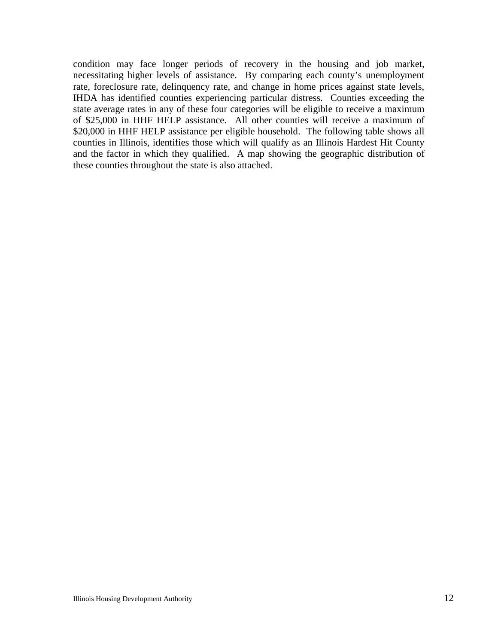condition may face longer periods of recovery in the housing and job market, necessitating higher levels of assistance. By comparing each county's unemployment rate, foreclosure rate, delinquency rate, and change in home prices against state levels, IHDA has identified counties experiencing particular distress. Counties exceeding the state average rates in any of these four categories will be eligible to receive a maximum of \$25,000 in HHF HELP assistance. All other counties will receive a maximum of \$20,000 in HHF HELP assistance per eligible household. The following table shows all counties in Illinois, identifies those which will qualify as an Illinois Hardest Hit County and the factor in which they qualified. A map showing the geographic distribution of these counties throughout the state is also attached.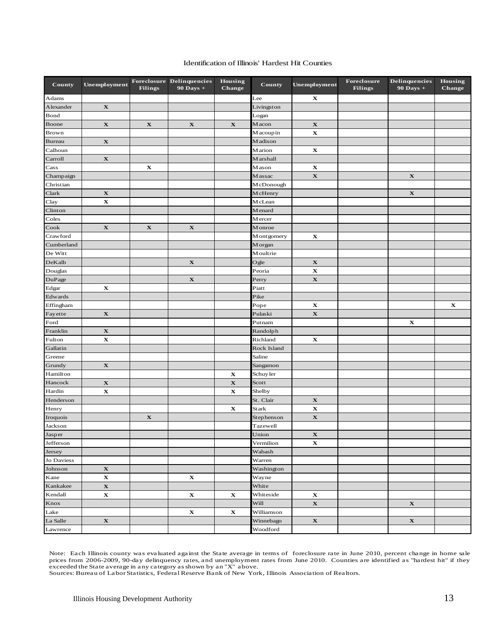#### Identification of Illinois' Hardest Hit Counties

| County          | Unemployment | <b>Filings</b> | Foreclosure Delinquencies<br>90 Days + | Housing<br><b>Change</b> | County       | Unemployment | Foreclosure<br><b>Filings</b> | Delinquencies<br>90 Days + | Housing<br><b>Change</b> |
|-----------------|--------------|----------------|----------------------------------------|--------------------------|--------------|--------------|-------------------------------|----------------------------|--------------------------|
| Adams           |              |                |                                        |                          | Lee          | $\mathbf X$  |                               |                            |                          |
| Alexander       | $\mathbf X$  |                |                                        |                          | Livingston   |              |                               |                            |                          |
| Bond            |              |                |                                        |                          | Logan        |              |                               |                            |                          |
| Boone           | $\mathbf X$  | $\mathbf X$    | $\mathbf X$                            | $\mathbf X$              | M acon       | $\mathbf X$  |                               |                            |                          |
| Brown           |              |                |                                        |                          | M acoup in   | $\mathbf X$  |                               |                            |                          |
| <b>Bureau</b>   | $\mathbf X$  |                |                                        |                          | Madison      |              |                               |                            |                          |
| Calhoun         |              |                |                                        |                          | Marion       | $\mathbf X$  |                               |                            |                          |
| Carroll         | $\mathbf X$  |                |                                        |                          | M arshall    |              |                               |                            |                          |
| Cass            |              | $\mathbf X$    |                                        |                          | Mason        | $\mathbf X$  |                               |                            |                          |
| Champaign       |              |                |                                        |                          | Massac       | $\mathbf X$  |                               | $\mathbf X$                |                          |
| Christian       |              |                |                                        |                          | McDonough    |              |                               |                            |                          |
| Clark           | $\mathbf X$  |                |                                        |                          | McHenry      |              |                               | $\mathbf X$                |                          |
| Clay            | $\mathbf X$  |                |                                        |                          | M cLean      |              |                               |                            |                          |
| Clinton         |              |                |                                        |                          | Menard       |              |                               |                            |                          |
| Coles           |              |                |                                        |                          | Mercer       |              |                               |                            |                          |
| Cook            | $\mathbf X$  | $\mathbf X$    | $\mathbf X$                            |                          | Monroe       |              |                               |                            |                          |
| Crawford        |              |                |                                        |                          | M ont gomery | $\mathbf X$  |                               |                            |                          |
| Cumberland      |              |                |                                        |                          | M organ      |              |                               |                            |                          |
| De Witt         |              |                |                                        |                          | Moultrie     |              |                               |                            |                          |
| DeKalb          |              |                | $\mathbf X$                            |                          | Ogle         | $\mathbf X$  |                               |                            |                          |
| Douglas         |              |                |                                        |                          | Peoria       | $\mathbf X$  |                               |                            |                          |
| DuPage          |              |                | $\mathbf X$                            |                          | Perry        | $\mathbf X$  |                               |                            |                          |
| Edgar           | $\mathbf X$  |                |                                        |                          | Piatt        |              |                               |                            |                          |
| Edwards         |              |                |                                        |                          | Pike         |              |                               |                            |                          |
| Effingham       |              |                |                                        |                          | Pope         | $\mathbf X$  |                               |                            | $\mathbf X$              |
| Fayette         | $\mathbf X$  |                |                                        |                          | Pulaski      | $\mathbf x$  |                               |                            |                          |
| Ford            |              |                |                                        |                          | Putnam       |              |                               | x                          |                          |
| Franklin        | $\mathbf X$  |                |                                        |                          | Randolph     |              |                               |                            |                          |
| Fulton          | $\mathbf X$  |                |                                        |                          | Richland     | $\mathbf X$  |                               |                            |                          |
| Gallatin        |              |                |                                        |                          | Rock Island  |              |                               |                            |                          |
| Greene          |              |                |                                        |                          | Saline       |              |                               |                            |                          |
| Grundy          | $\mathbf X$  |                |                                        |                          | Sangamon     |              |                               |                            |                          |
| Hamilton        |              |                |                                        | $\mathbf X$              | Schuyler     |              |                               |                            |                          |
| Hancock         | $\mathbf X$  |                |                                        | $\mathbf X$              | Scott        |              |                               |                            |                          |
| Hardin          | $\mathbf X$  |                |                                        | $\mathbf X$              | Shelby       |              |                               |                            |                          |
| Henderson       |              |                |                                        |                          | St. Clair    | $\mathbf X$  |                               |                            |                          |
| Henry           |              |                |                                        | $\mathbf X$              | Stark        | $\mathbf X$  |                               |                            |                          |
| Iroquois        |              | $\mathbf X$    |                                        |                          | Stephenson   | $\mathbf X$  |                               |                            |                          |
| Jackson         |              |                |                                        |                          | Tazewell     |              |                               |                            |                          |
| $_{\rm Jasper}$ |              |                |                                        |                          | Union        | $\mathbf X$  |                               |                            |                          |
| Jefferson       |              |                |                                        |                          | Vermilion    | X            |                               |                            |                          |
| Jersey          |              |                |                                        |                          | Wabash       |              |                               |                            |                          |
| Jo Daviess      |              |                |                                        |                          | Warren       |              |                               |                            |                          |
| Johnson         | $\mathbf X$  |                |                                        |                          | Washington   |              |                               |                            |                          |
| Kane            | $\mathbf X$  |                | $\mathbf X$                            |                          | Wayne        |              |                               |                            |                          |
| Kankakee        | $\mathbf X$  |                |                                        |                          | White        |              |                               |                            |                          |
| Kendall         | $\mathbf X$  |                | $\mathbf X$                            | $\mathbf X$              | Whiteside    | $\mathbf X$  |                               |                            |                          |
| Knox            |              |                |                                        |                          | Will         | $\mathbf X$  |                               | $\mathbf X$                |                          |
| Lake            |              |                | $\mathbf X$                            | $\mathbf X$              | Williamson   |              |                               |                            |                          |
| La Salle        | $\mathbf X$  |                |                                        |                          | Winnebago    | $\mathbf X$  |                               | $\mathbf X$                |                          |
| Lawrence        |              |                |                                        |                          | Woodford     |              |                               |                            |                          |

Note: Each Illinois county was evaluated against the State average in terms of foreclosure rate in June 2010, percent change in home sale prices from 2006-2009, 90-day delinquency rates, and unemployment rates from June 2010. Counties are identified as "hardest hit" if they<br>exceeded the State average in any category as shown by an "X" above.<br>Sources: Bureau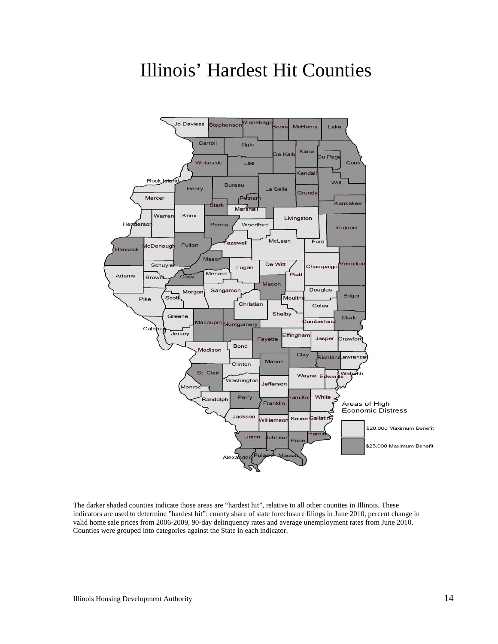# Illinois' Hardest Hit Counties



The darker shaded counties indicate those areas are "hardest hit", relative to all other counties in Illinois. These indicators are used to determine "hardest hit": county share of state foreclosure filings in June 2010, percent change in valid home sale prices from 2006-2009, 90-day delinquency rates and average unemployment rates from June 2010. Counties were grouped into categories against the State in each indicator.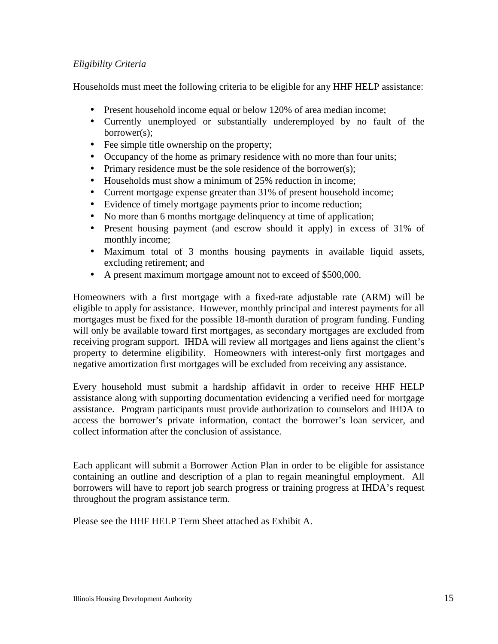# *Eligibility Criteria*

Households must meet the following criteria to be eligible for any HHF HELP assistance:

- Present household income equal or below 120% of area median income;
- Currently unemployed or substantially underemployed by no fault of the borrower(s);
- Fee simple title ownership on the property;
- Occupancy of the home as primary residence with no more than four units;
- Primary residence must be the sole residence of the borrower(s);
- Households must show a minimum of 25% reduction in income;
- Current mortgage expense greater than 31% of present household income;
- Evidence of timely mortgage payments prior to income reduction;
- No more than 6 months mortgage delinquency at time of application;
- Present housing payment (and escrow should it apply) in excess of 31% of monthly income;
- Maximum total of 3 months housing payments in available liquid assets, excluding retirement; and
- A present maximum mortgage amount not to exceed of \$500,000.

Homeowners with a first mortgage with a fixed-rate adjustable rate (ARM) will be eligible to apply for assistance. However, monthly principal and interest payments for all mortgages must be fixed for the possible 18-month duration of program funding. Funding will only be available toward first mortgages, as secondary mortgages are excluded from receiving program support. IHDA will review all mortgages and liens against the client's property to determine eligibility. Homeowners with interest-only first mortgages and negative amortization first mortgages will be excluded from receiving any assistance.

Every household must submit a hardship affidavit in order to receive HHF HELP assistance along with supporting documentation evidencing a verified need for mortgage assistance. Program participants must provide authorization to counselors and IHDA to access the borrower's private information, contact the borrower's loan servicer, and collect information after the conclusion of assistance.

Each applicant will submit a Borrower Action Plan in order to be eligible for assistance containing an outline and description of a plan to regain meaningful employment. All borrowers will have to report job search progress or training progress at IHDA's request throughout the program assistance term.

Please see the HHF HELP Term Sheet attached as Exhibit A.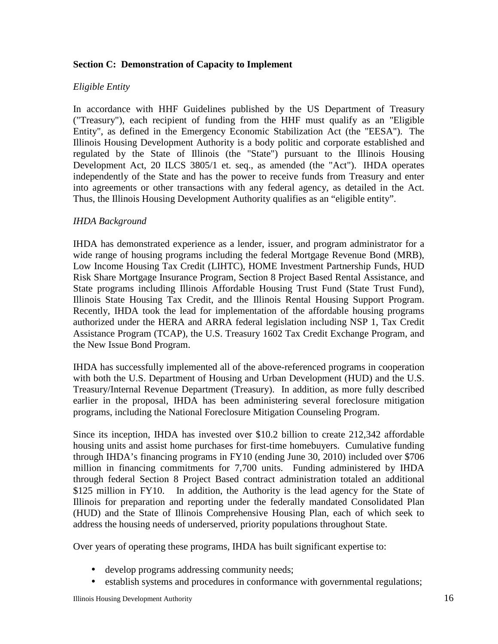# **Section C: Demonstration of Capacity to Implement**

#### *Eligible Entity*

In accordance with HHF Guidelines published by the US Department of Treasury ("Treasury"), each recipient of funding from the HHF must qualify as an "Eligible Entity", as defined in the Emergency Economic Stabilization Act (the "EESA"). The Illinois Housing Development Authority is a body politic and corporate established and regulated by the State of Illinois (the "State") pursuant to the Illinois Housing Development Act, 20 ILCS 3805/1 et. seq., as amended (the "Act"). IHDA operates independently of the State and has the power to receive funds from Treasury and enter into agreements or other transactions with any federal agency, as detailed in the Act. Thus, the Illinois Housing Development Authority qualifies as an "eligible entity".

#### *IHDA Background*

IHDA has demonstrated experience as a lender, issuer, and program administrator for a wide range of housing programs including the federal Mortgage Revenue Bond (MRB), Low Income Housing Tax Credit (LIHTC), HOME Investment Partnership Funds, HUD Risk Share Mortgage Insurance Program, Section 8 Project Based Rental Assistance, and State programs including Illinois Affordable Housing Trust Fund (State Trust Fund), Illinois State Housing Tax Credit, and the Illinois Rental Housing Support Program. Recently, IHDA took the lead for implementation of the affordable housing programs authorized under the HERA and ARRA federal legislation including NSP 1, Tax Credit Assistance Program (TCAP), the U.S. Treasury 1602 Tax Credit Exchange Program, and the New Issue Bond Program.

IHDA has successfully implemented all of the above-referenced programs in cooperation with both the U.S. Department of Housing and Urban Development (HUD) and the U.S. Treasury/Internal Revenue Department (Treasury). In addition, as more fully described earlier in the proposal, IHDA has been administering several foreclosure mitigation programs, including the National Foreclosure Mitigation Counseling Program.

Since its inception, IHDA has invested over \$10.2 billion to create 212,342 affordable housing units and assist home purchases for first-time homebuyers. Cumulative funding through IHDA's financing programs in FY10 (ending June 30, 2010) included over \$706 million in financing commitments for 7,700 units. Funding administered by IHDA through federal Section 8 Project Based contract administration totaled an additional \$125 million in FY10. In addition, the Authority is the lead agency for the State of Illinois for preparation and reporting under the federally mandated Consolidated Plan (HUD) and the State of Illinois Comprehensive Housing Plan, each of which seek to address the housing needs of underserved, priority populations throughout State.

Over years of operating these programs, IHDA has built significant expertise to:

- develop programs addressing community needs;
- establish systems and procedures in conformance with governmental regulations;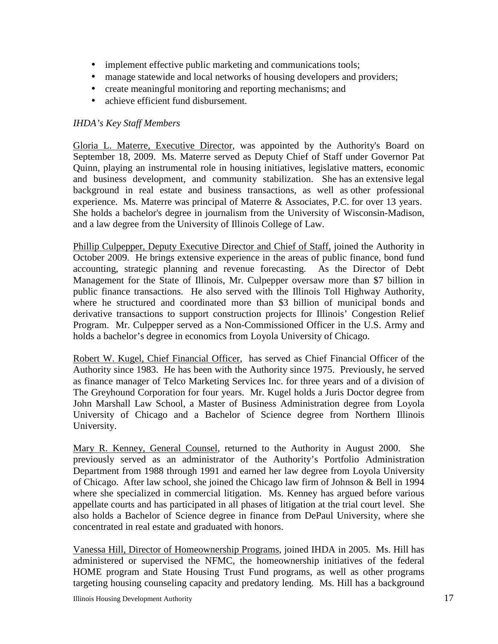- implement effective public marketing and communications tools;
- manage statewide and local networks of housing developers and providers;
- create meaningful monitoring and reporting mechanisms; and
- achieve efficient fund disbursement.

# *IHDA's Key Staff Members*

Gloria L. Materre, Executive Director, was appointed by the Authority's Board on September 18, 2009. Ms. Materre served as Deputy Chief of Staff under Governor Pat Quinn, playing an instrumental role in housing initiatives, legislative matters, economic and business development, and community stabilization. She has an extensive legal background in real estate and business transactions, as well as other professional experience. Ms. Materre was principal of Materre & Associates, P.C. for over 13 years. She holds a bachelor's degree in journalism from the University of Wisconsin-Madison, and a law degree from the University of Illinois College of Law.

Phillip Culpepper, Deputy Executive Director and Chief of Staff, joined the Authority in October 2009. He brings extensive experience in the areas of public finance, bond fund accounting, strategic planning and revenue forecasting. As the Director of Debt Management for the State of Illinois, Mr. Culpepper oversaw more than \$7 billion in public finance transactions. He also served with the Illinois Toll Highway Authority, where he structured and coordinated more than \$3 billion of municipal bonds and derivative transactions to support construction projects for Illinois' Congestion Relief Program. Mr. Culpepper served as a Non-Commissioned Officer in the U.S. Army and holds a bachelor's degree in economics from Loyola University of Chicago.

Robert W. Kugel, Chief Financial Officer, has served as Chief Financial Officer of the Authority since 1983. He has been with the Authority since 1975. Previously, he served as finance manager of Telco Marketing Services Inc. for three years and of a division of The Greyhound Corporation for four years. Mr. Kugel holds a Juris Doctor degree from John Marshall Law School, a Master of Business Administration degree from Loyola University of Chicago and a Bachelor of Science degree from Northern Illinois University.

Mary R. Kenney, General Counsel, returned to the Authority in August 2000. She previously served as an administrator of the Authority's Portfolio Administration Department from 1988 through 1991 and earned her law degree from Loyola University of Chicago. After law school, she joined the Chicago law firm of Johnson & Bell in 1994 where she specialized in commercial litigation. Ms. Kenney has argued before various appellate courts and has participated in all phases of litigation at the trial court level. She also holds a Bachelor of Science degree in finance from DePaul University, where she concentrated in real estate and graduated with honors.

Vanessa Hill, Director of Homeownership Programs, joined IHDA in 2005. Ms. Hill has administered or supervised the NFMC, the homeownership initiatives of the federal HOME program and State Housing Trust Fund programs, as well as other programs targeting housing counseling capacity and predatory lending. Ms. Hill has a background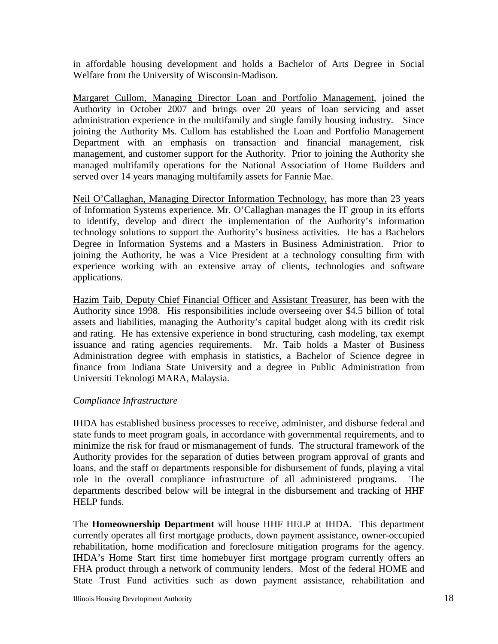in affordable housing development and holds a Bachelor of Arts Degree in Social Welfare from the University of Wisconsin-Madison.

Margaret Cullom, Managing Director Loan and Portfolio Management, joined the Authority in October 2007 and brings over 20 years of loan servicing and asset administration experience in the multifamily and single family housing industry. Since joining the Authority Ms. Cullom has established the Loan and Portfolio Management Department with an emphasis on transaction and financial management, risk management, and customer support for the Authority. Prior to joining the Authority she managed multifamily operations for the National Association of Home Builders and served over 14 years managing multifamily assets for Fannie Mae.

Neil O'Callaghan, Managing Director Information Technology, has more than 23 years of Information Systems experience. Mr. O'Callaghan manages the IT group in its efforts to identify, develop and direct the implementation of the Authority's information technology solutions to support the Authority's business activities. He has a Bachelors Degree in Information Systems and a Masters in Business Administration. Prior to joining the Authority, he was a Vice President at a technology consulting firm with experience working with an extensive array of clients, technologies and software applications.

Hazim Taib, Deputy Chief Financial Officer and Assistant Treasurer, has been with the Authority since 1998. His responsibilities include overseeing over \$4.5 billion of total assets and liabilities, managing the Authority's capital budget along with its credit risk and rating. He has extensive experience in bond structuring, cash modeling, tax exempt issuance and rating agencies requirements. Mr. Taib holds a Master of Business Administration degree with emphasis in statistics, a Bachelor of Science degree in finance from Indiana State University and a degree in Public Administration from Universiti Teknologi MARA, Malaysia.

#### *Compliance Infrastructure*

IHDA has established business processes to receive, administer, and disburse federal and state funds to meet program goals, in accordance with governmental requirements, and to minimize the risk for fraud or mismanagement of funds. The structural framework of the Authority provides for the separation of duties between program approval of grants and loans, and the staff or departments responsible for disbursement of funds, playing a vital role in the overall compliance infrastructure of all administered programs. The departments described below will be integral in the disbursement and tracking of HHF HELP funds.

The **Homeownership Department** will house HHF HELP at IHDA. This department currently operates all first mortgage products, down payment assistance, owner-occupied rehabilitation, home modification and foreclosure mitigation programs for the agency. IHDA's Home Start first time homebuyer first mortgage program currently offers an FHA product through a network of community lenders. Most of the federal HOME and State Trust Fund activities such as down payment assistance, rehabilitation and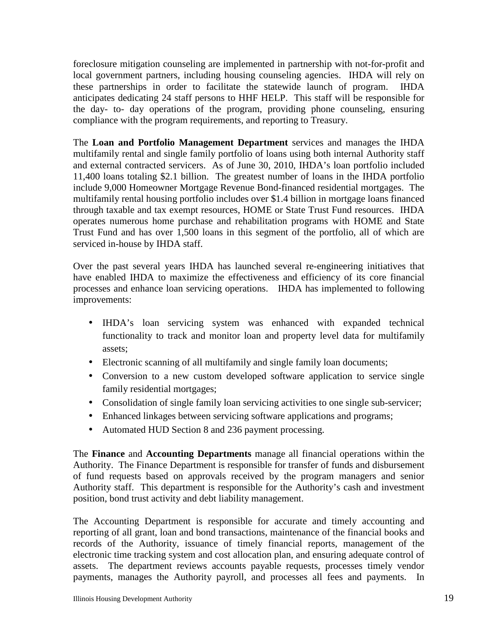foreclosure mitigation counseling are implemented in partnership with not-for-profit and local government partners, including housing counseling agencies. IHDA will rely on these partnerships in order to facilitate the statewide launch of program. IHDA anticipates dedicating 24 staff persons to HHF HELP. This staff will be responsible for the day- to- day operations of the program, providing phone counseling, ensuring compliance with the program requirements, and reporting to Treasury.

The **Loan and Portfolio Management Department** services and manages the IHDA multifamily rental and single family portfolio of loans using both internal Authority staff and external contracted servicers. As of June 30, 2010, IHDA's loan portfolio included 11,400 loans totaling \$2.1 billion. The greatest number of loans in the IHDA portfolio include 9,000 Homeowner Mortgage Revenue Bond-financed residential mortgages. The multifamily rental housing portfolio includes over \$1.4 billion in mortgage loans financed through taxable and tax exempt resources, HOME or State Trust Fund resources. IHDA operates numerous home purchase and rehabilitation programs with HOME and State Trust Fund and has over 1,500 loans in this segment of the portfolio, all of which are serviced in-house by IHDA staff.

Over the past several years IHDA has launched several re-engineering initiatives that have enabled IHDA to maximize the effectiveness and efficiency of its core financial processes and enhance loan servicing operations. IHDA has implemented to following improvements:

- IHDA's loan servicing system was enhanced with expanded technical functionality to track and monitor loan and property level data for multifamily assets;
- Electronic scanning of all multifamily and single family loan documents;
- Conversion to a new custom developed software application to service single family residential mortgages;
- Consolidation of single family loan servicing activities to one single sub-servicer;
- Enhanced linkages between servicing software applications and programs;
- Automated HUD Section 8 and 236 payment processing.

The **Finance** and **Accounting Departments** manage all financial operations within the Authority. The Finance Department is responsible for transfer of funds and disbursement of fund requests based on approvals received by the program managers and senior Authority staff. This department is responsible for the Authority's cash and investment position, bond trust activity and debt liability management.

The Accounting Department is responsible for accurate and timely accounting and reporting of all grant, loan and bond transactions, maintenance of the financial books and records of the Authority, issuance of timely financial reports, management of the electronic time tracking system and cost allocation plan, and ensuring adequate control of assets. The department reviews accounts payable requests, processes timely vendor payments, manages the Authority payroll, and processes all fees and payments. In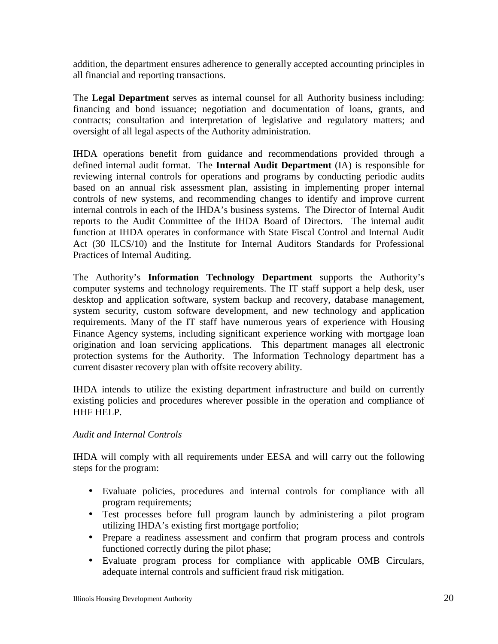addition, the department ensures adherence to generally accepted accounting principles in all financial and reporting transactions.

The **Legal Department** serves as internal counsel for all Authority business including: financing and bond issuance; negotiation and documentation of loans, grants, and contracts; consultation and interpretation of legislative and regulatory matters; and oversight of all legal aspects of the Authority administration.

IHDA operations benefit from guidance and recommendations provided through a defined internal audit format. The **Internal Audit Department** (IA) is responsible for reviewing internal controls for operations and programs by conducting periodic audits based on an annual risk assessment plan, assisting in implementing proper internal controls of new systems, and recommending changes to identify and improve current internal controls in each of the IHDA's business systems. The Director of Internal Audit reports to the Audit Committee of the IHDA Board of Directors. The internal audit function at IHDA operates in conformance with State Fiscal Control and Internal Audit Act (30 ILCS/10) and the Institute for Internal Auditors Standards for Professional Practices of Internal Auditing.

The Authority's **Information Technology Department** supports the Authority's computer systems and technology requirements. The IT staff support a help desk, user desktop and application software, system backup and recovery, database management, system security, custom software development, and new technology and application requirements. Many of the IT staff have numerous years of experience with Housing Finance Agency systems, including significant experience working with mortgage loan origination and loan servicing applications. This department manages all electronic protection systems for the Authority. The Information Technology department has a current disaster recovery plan with offsite recovery ability.

IHDA intends to utilize the existing department infrastructure and build on currently existing policies and procedures wherever possible in the operation and compliance of HHF HELP.

#### *Audit and Internal Controls*

IHDA will comply with all requirements under EESA and will carry out the following steps for the program:

- Evaluate policies, procedures and internal controls for compliance with all program requirements;
- Test processes before full program launch by administering a pilot program utilizing IHDA's existing first mortgage portfolio;
- Prepare a readiness assessment and confirm that program process and controls functioned correctly during the pilot phase;
- Evaluate program process for compliance with applicable OMB Circulars, adequate internal controls and sufficient fraud risk mitigation.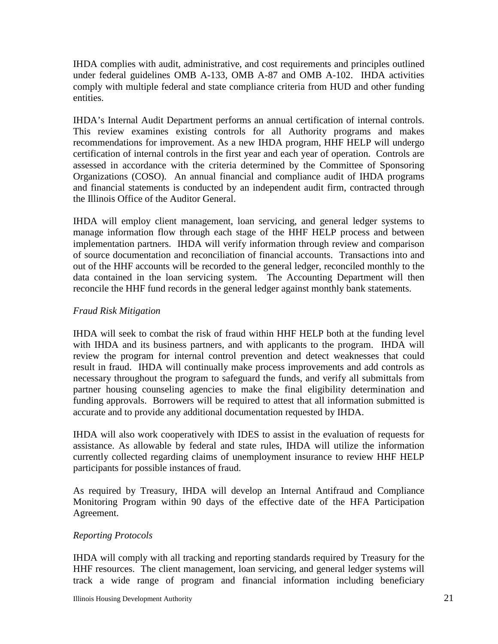IHDA complies with audit, administrative, and cost requirements and principles outlined under federal guidelines OMB A-133, OMB A-87 and OMB A-102. IHDA activities comply with multiple federal and state compliance criteria from HUD and other funding entities.

IHDA's Internal Audit Department performs an annual certification of internal controls. This review examines existing controls for all Authority programs and makes recommendations for improvement. As a new IHDA program, HHF HELP will undergo certification of internal controls in the first year and each year of operation. Controls are assessed in accordance with the criteria determined by the Committee of Sponsoring Organizations (COSO). An annual financial and compliance audit of IHDA programs and financial statements is conducted by an independent audit firm, contracted through the Illinois Office of the Auditor General.

IHDA will employ client management, loan servicing, and general ledger systems to manage information flow through each stage of the HHF HELP process and between implementation partners. IHDA will verify information through review and comparison of source documentation and reconciliation of financial accounts. Transactions into and out of the HHF accounts will be recorded to the general ledger, reconciled monthly to the data contained in the loan servicing system. The Accounting Department will then reconcile the HHF fund records in the general ledger against monthly bank statements.

## *Fraud Risk Mitigation*

IHDA will seek to combat the risk of fraud within HHF HELP both at the funding level with IHDA and its business partners, and with applicants to the program. IHDA will review the program for internal control prevention and detect weaknesses that could result in fraud. IHDA will continually make process improvements and add controls as necessary throughout the program to safeguard the funds, and verify all submittals from partner housing counseling agencies to make the final eligibility determination and funding approvals. Borrowers will be required to attest that all information submitted is accurate and to provide any additional documentation requested by IHDA.

IHDA will also work cooperatively with IDES to assist in the evaluation of requests for assistance. As allowable by federal and state rules, IHDA will utilize the information currently collected regarding claims of unemployment insurance to review HHF HELP participants for possible instances of fraud.

As required by Treasury, IHDA will develop an Internal Antifraud and Compliance Monitoring Program within 90 days of the effective date of the HFA Participation Agreement.

#### *Reporting Protocols*

IHDA will comply with all tracking and reporting standards required by Treasury for the HHF resources. The client management, loan servicing, and general ledger systems will track a wide range of program and financial information including beneficiary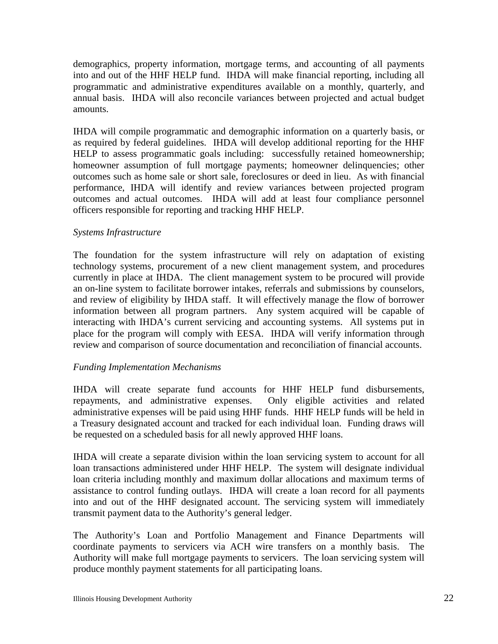demographics, property information, mortgage terms, and accounting of all payments into and out of the HHF HELP fund. IHDA will make financial reporting, including all programmatic and administrative expenditures available on a monthly, quarterly, and annual basis. IHDA will also reconcile variances between projected and actual budget amounts.

IHDA will compile programmatic and demographic information on a quarterly basis, or as required by federal guidelines. IHDA will develop additional reporting for the HHF HELP to assess programmatic goals including: successfully retained homeownership; homeowner assumption of full mortgage payments; homeowner delinquencies; other outcomes such as home sale or short sale, foreclosures or deed in lieu. As with financial performance, IHDA will identify and review variances between projected program outcomes and actual outcomes. IHDA will add at least four compliance personnel officers responsible for reporting and tracking HHF HELP.

#### *Systems Infrastructure*

The foundation for the system infrastructure will rely on adaptation of existing technology systems, procurement of a new client management system, and procedures currently in place at IHDA. The client management system to be procured will provide an on-line system to facilitate borrower intakes, referrals and submissions by counselors, and review of eligibility by IHDA staff. It will effectively manage the flow of borrower information between all program partners. Any system acquired will be capable of interacting with IHDA's current servicing and accounting systems. All systems put in place for the program will comply with EESA. IHDA will verify information through review and comparison of source documentation and reconciliation of financial accounts.

#### *Funding Implementation Mechanisms*

IHDA will create separate fund accounts for HHF HELP fund disbursements, repayments, and administrative expenses. Only eligible activities and related administrative expenses will be paid using HHF funds. HHF HELP funds will be held in a Treasury designated account and tracked for each individual loan. Funding draws will be requested on a scheduled basis for all newly approved HHF loans.

IHDA will create a separate division within the loan servicing system to account for all loan transactions administered under HHF HELP. The system will designate individual loan criteria including monthly and maximum dollar allocations and maximum terms of assistance to control funding outlays. IHDA will create a loan record for all payments into and out of the HHF designated account. The servicing system will immediately transmit payment data to the Authority's general ledger.

The Authority's Loan and Portfolio Management and Finance Departments will coordinate payments to servicers via ACH wire transfers on a monthly basis. The Authority will make full mortgage payments to servicers. The loan servicing system will produce monthly payment statements for all participating loans.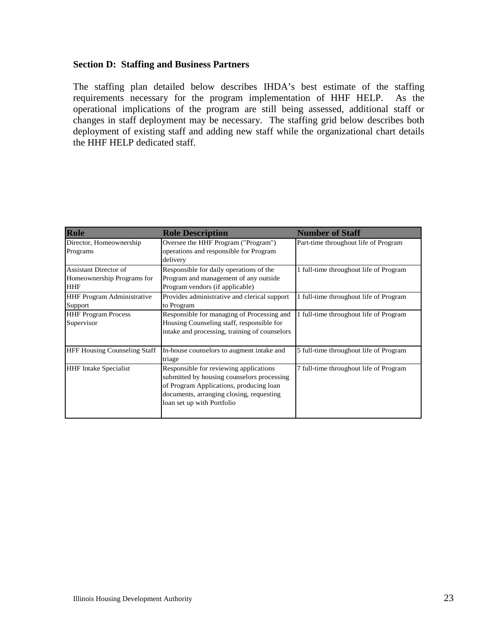#### **Section D: Staffing and Business Partners**

The staffing plan detailed below describes IHDA's best estimate of the staffing requirements necessary for the program implementation of HHF HELP. As the operational implications of the program are still being assessed, additional staff or changes in staff deployment may be necessary. The staffing grid below describes both deployment of existing staff and adding new staff while the organizational chart details the HHF HELP dedicated staff.

| Role                                                       | <b>Role Description</b>                                                                                                                                                                                   | <b>Number of Staff</b>                 |
|------------------------------------------------------------|-----------------------------------------------------------------------------------------------------------------------------------------------------------------------------------------------------------|----------------------------------------|
| Director, Homeownership<br>Programs                        | Oversee the HHF Program ("Program")<br>operations and responsible for Program<br>delivery                                                                                                                 | Part-time throughout life of Program   |
| Assistant Director of<br>Homeownership Programs for<br>HHF | Responsible for daily operations of the<br>Program and management of any outside<br>Program vendors (if applicable)                                                                                       | 1 full-time throughout life of Program |
| <b>HHF Program Administrative</b><br>Support               | Provides administrative and clerical support<br>to Program                                                                                                                                                | 1 full-time throughout life of Program |
| <b>HHF Program Process</b><br>Supervisor                   | Responsible for managing of Processing and<br>Housing Counseling staff, responsible for<br>intake and processing, training of counselors                                                                  | 1 full-time throughout life of Program |
| <b>HFF Housing Counseling Staff</b>                        | In-house counselors to augment intake and<br>triage                                                                                                                                                       | 5 full-time throughout life of Program |
| <b>HHF</b> Intake Specialist                               | Responsible for reviewing applications<br>submitted by housing counselors processing<br>of Program Applications, producing loan<br>documents, arranging closing, requesting<br>loan set up with Portfolio | 7 full-time throughout life of Program |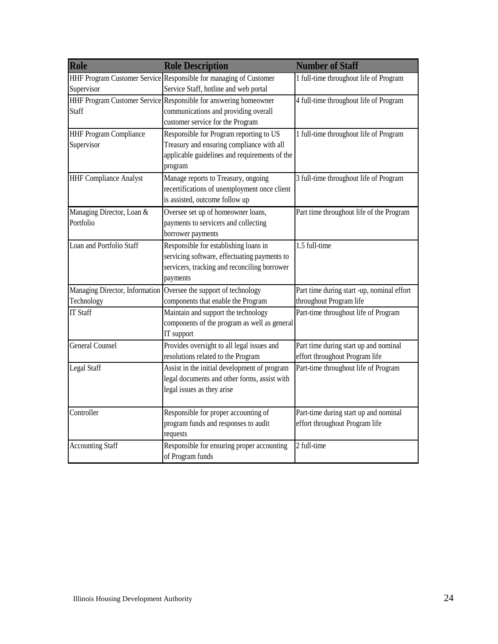| Role                           | <b>Role Description</b>                                           | <b>Number of Staff</b>                     |
|--------------------------------|-------------------------------------------------------------------|--------------------------------------------|
|                                | HHF Program Customer Service Responsible for managing of Customer | 1 full-time throughout life of Program     |
| Supervisor                     | Service Staff, hotline and web portal                             |                                            |
|                                | HHF Program Customer Service Responsible for answering homeowner  | 4 full-time throughout life of Program     |
| Staff                          | communications and providing overall                              |                                            |
|                                | customer service for the Program                                  |                                            |
| <b>HHF Program Compliance</b>  | Responsible for Program reporting to US                           | 1 full-time throughout life of Program     |
| Supervisor                     | Treasury and ensuring compliance with all                         |                                            |
|                                | applicable guidelines and requirements of the                     |                                            |
|                                | program                                                           |                                            |
| <b>HHF Compliance Analyst</b>  | Manage reports to Treasury, ongoing                               | 3 full-time throughout life of Program     |
|                                | recertifications of unemployment once client                      |                                            |
|                                | is assisted, outcome follow up                                    |                                            |
| Managing Director, Loan &      | Oversee set up of homeowner loans,                                | Part time throughout life of the Program   |
| Portfolio                      | payments to servicers and collecting                              |                                            |
|                                | borrower payments                                                 |                                            |
| Loan and Portfolio Staff       | Responsible for establishing loans in                             | 1.5 full-time                              |
|                                | servicing software, effectuating payments to                      |                                            |
|                                | servicers, tracking and reconciling borrower                      |                                            |
|                                | payments                                                          |                                            |
| Managing Director, Information | Oversee the support of technology                                 | Part time during start -up, nominal effort |
| Technology                     | components that enable the Program                                | throughout Program life                    |
| <b>IT Staff</b>                | Maintain and support the technology                               | Part-time throughout life of Program       |
|                                | components of the program as well as general                      |                                            |
|                                | IT support                                                        |                                            |
| <b>General Counsel</b>         | Provides oversight to all legal issues and                        | Part time during start up and nominal      |
|                                | resolutions related to the Program                                | effort throughout Program life             |
| <b>Legal Staff</b>             | Assist in the initial development of program                      | Part-time throughout life of Program       |
|                                | legal documents and other forms, assist with                      |                                            |
|                                | legal issues as they arise                                        |                                            |
|                                |                                                                   |                                            |
| Controller                     | Responsible for proper accounting of                              | Part-time during start up and nominal      |
|                                | program funds and responses to audit                              | effort throughout Program life             |
|                                | requests                                                          |                                            |
| <b>Accounting Staff</b>        | Responsible for ensuring proper accounting                        | 2 full-time                                |
|                                | of Program funds                                                  |                                            |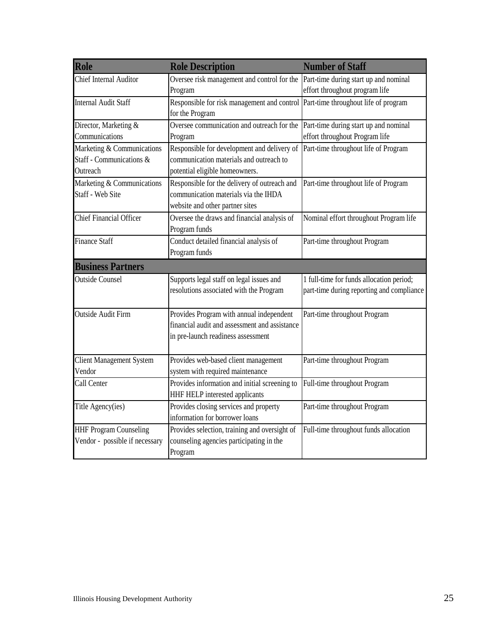| Role                            | <b>Role Description</b>                       | <b>Number of Staff</b>                    |  |  |
|---------------------------------|-----------------------------------------------|-------------------------------------------|--|--|
| Chief Internal Auditor          | Oversee risk management and control for the   | Part-time during start up and nominal     |  |  |
|                                 | Program                                       | effort throughout program life            |  |  |
| <b>Internal Audit Staff</b>     | Responsible for risk management and control   | Part-time throughout life of program      |  |  |
|                                 | for the Program                               |                                           |  |  |
| Director, Marketing &           | Oversee communication and outreach for the    | Part-time during start up and nominal     |  |  |
| Communications                  | Program                                       | effort throughout Program life            |  |  |
| Marketing & Communications      | Responsible for development and delivery of   | Part-time throughout life of Program      |  |  |
| Staff - Communications &        | communication materials and outreach to       |                                           |  |  |
| Outreach                        | potential eligible homeowners.                |                                           |  |  |
| Marketing & Communications      | Responsible for the delivery of outreach and  | Part-time throughout life of Program      |  |  |
| Staff - Web Site                | communication materials via the IHDA          |                                           |  |  |
|                                 | website and other partner sites               |                                           |  |  |
| <b>Chief Financial Officer</b>  | Oversee the draws and financial analysis of   | Nominal effort throughout Program life    |  |  |
|                                 | Program funds                                 |                                           |  |  |
| <b>Finance Staff</b>            | Conduct detailed financial analysis of        | Part-time throughout Program              |  |  |
|                                 | Program funds                                 |                                           |  |  |
| <b>Business Partners</b>        |                                               |                                           |  |  |
| <b>Outside Counsel</b>          | Supports legal staff on legal issues and      | 1 full-time for funds allocation period;  |  |  |
|                                 | resolutions associated with the Program       | part-time during reporting and compliance |  |  |
|                                 |                                               |                                           |  |  |
| <b>Outside Audit Firm</b>       | Provides Program with annual independent      | Part-time throughout Program              |  |  |
|                                 | financial audit and assessment and assistance |                                           |  |  |
|                                 | in pre-launch readiness assessment            |                                           |  |  |
| <b>Client Management System</b> | Provides web-based client management          | Part-time throughout Program              |  |  |
| Vendor                          | system with required maintenance              |                                           |  |  |
| Call Center                     | Provides information and initial screening to | Full-time throughout Program              |  |  |
|                                 | HHF HELP interested applicants                |                                           |  |  |
| Title Agency(ies)               | Provides closing services and property        | Part-time throughout Program              |  |  |
|                                 | information for borrower loans                |                                           |  |  |
| <b>HHF Program Counseling</b>   | Provides selection, training and oversight of | Full-time throughout funds allocation     |  |  |
| Vendor - possible if necessary  | counseling agencies participating in the      |                                           |  |  |
|                                 | Program                                       |                                           |  |  |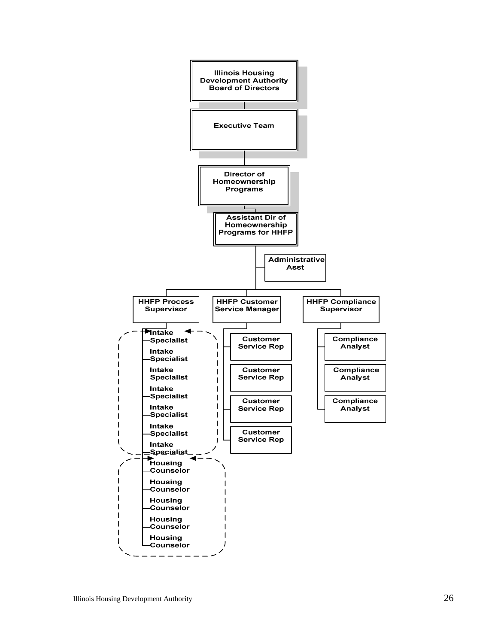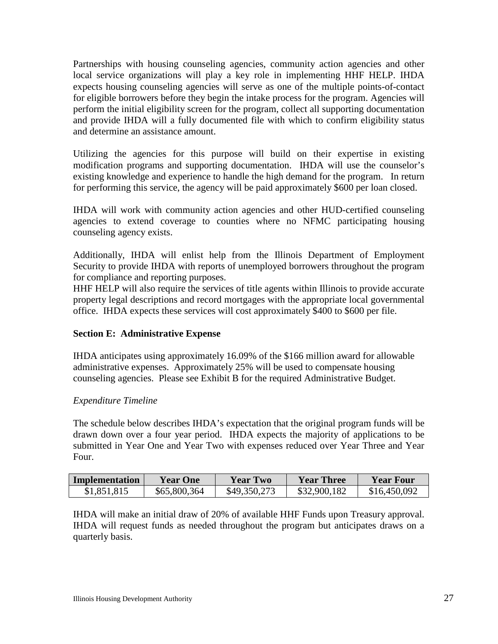Partnerships with housing counseling agencies, community action agencies and other local service organizations will play a key role in implementing HHF HELP. IHDA expects housing counseling agencies will serve as one of the multiple points-of-contact for eligible borrowers before they begin the intake process for the program. Agencies will perform the initial eligibility screen for the program, collect all supporting documentation and provide IHDA will a fully documented file with which to confirm eligibility status and determine an assistance amount.

Utilizing the agencies for this purpose will build on their expertise in existing modification programs and supporting documentation. IHDA will use the counselor's existing knowledge and experience to handle the high demand for the program. In return for performing this service, the agency will be paid approximately \$600 per loan closed.

IHDA will work with community action agencies and other HUD-certified counseling agencies to extend coverage to counties where no NFMC participating housing counseling agency exists.

Additionally, IHDA will enlist help from the Illinois Department of Employment Security to provide IHDA with reports of unemployed borrowers throughout the program for compliance and reporting purposes.

HHF HELP will also require the services of title agents within Illinois to provide accurate property legal descriptions and record mortgages with the appropriate local governmental office. IHDA expects these services will cost approximately \$400 to \$600 per file.

# **Section E: Administrative Expense**

IHDA anticipates using approximately 16.09% of the \$166 million award for allowable administrative expenses. Approximately 25% will be used to compensate housing counseling agencies. Please see Exhibit B for the required Administrative Budget.

# *Expenditure Timeline*

The schedule below describes IHDA's expectation that the original program funds will be drawn down over a four year period. IHDA expects the majority of applications to be submitted in Year One and Year Two with expenses reduced over Year Three and Year Four.

| <b>Implementation</b> | Year One     | Year Two     | Year Three   | <b>Year Four</b> |
|-----------------------|--------------|--------------|--------------|------------------|
| \$1,851,815           | \$65,800,364 | \$49,350,273 | \$32,900,182 | \$16,450,092     |

IHDA will make an initial draw of 20% of available HHF Funds upon Treasury approval. IHDA will request funds as needed throughout the program but anticipates draws on a quarterly basis.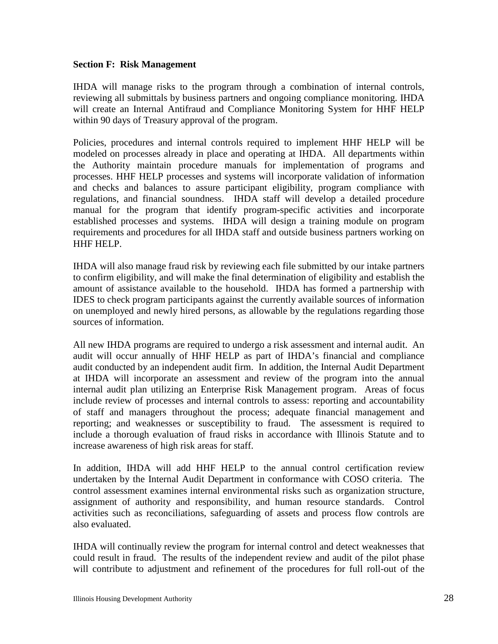#### **Section F: Risk Management**

IHDA will manage risks to the program through a combination of internal controls, reviewing all submittals by business partners and ongoing compliance monitoring. IHDA will create an Internal Antifraud and Compliance Monitoring System for HHF HELP within 90 days of Treasury approval of the program.

Policies, procedures and internal controls required to implement HHF HELP will be modeled on processes already in place and operating at IHDA. All departments within the Authority maintain procedure manuals for implementation of programs and processes. HHF HELP processes and systems will incorporate validation of information and checks and balances to assure participant eligibility, program compliance with regulations, and financial soundness. IHDA staff will develop a detailed procedure manual for the program that identify program-specific activities and incorporate established processes and systems. IHDA will design a training module on program requirements and procedures for all IHDA staff and outside business partners working on HHF HELP.

IHDA will also manage fraud risk by reviewing each file submitted by our intake partners to confirm eligibility, and will make the final determination of eligibility and establish the amount of assistance available to the household. IHDA has formed a partnership with IDES to check program participants against the currently available sources of information on unemployed and newly hired persons, as allowable by the regulations regarding those sources of information.

All new IHDA programs are required to undergo a risk assessment and internal audit. An audit will occur annually of HHF HELP as part of IHDA's financial and compliance audit conducted by an independent audit firm. In addition, the Internal Audit Department at IHDA will incorporate an assessment and review of the program into the annual internal audit plan utilizing an Enterprise Risk Management program. Areas of focus include review of processes and internal controls to assess: reporting and accountability of staff and managers throughout the process; adequate financial management and reporting; and weaknesses or susceptibility to fraud. The assessment is required to include a thorough evaluation of fraud risks in accordance with Illinois Statute and to increase awareness of high risk areas for staff.

In addition, IHDA will add HHF HELP to the annual control certification review undertaken by the Internal Audit Department in conformance with COSO criteria. The control assessment examines internal environmental risks such as organization structure, assignment of authority and responsibility, and human resource standards. Control activities such as reconciliations, safeguarding of assets and process flow controls are also evaluated.

IHDA will continually review the program for internal control and detect weaknesses that could result in fraud. The results of the independent review and audit of the pilot phase will contribute to adjustment and refinement of the procedures for full roll-out of the